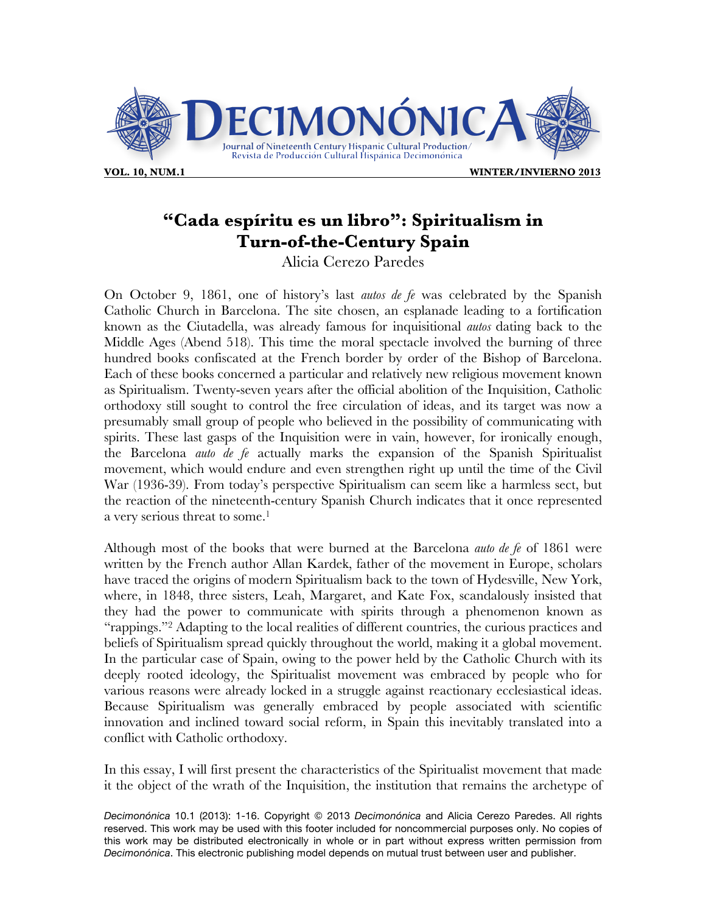

## **"Cada espíritu es un libro": Spiritualism in Turn-of-the-Century Spain**

Alicia Cerezo Paredes

On October 9, 1861, one of history's last *autos de fe* was celebrated by the Spanish Catholic Church in Barcelona. The site chosen, an esplanade leading to a fortification known as the Ciutadella, was already famous for inquisitional *autos* dating back to the Middle Ages (Abend 518). This time the moral spectacle involved the burning of three hundred books confiscated at the French border by order of the Bishop of Barcelona. Each of these books concerned a particular and relatively new religious movement known as Spiritualism. Twenty-seven years after the official abolition of the Inquisition, Catholic orthodoxy still sought to control the free circulation of ideas, and its target was now a presumably small group of people who believed in the possibility of communicating with spirits. These last gasps of the Inquisition were in vain, however, for ironically enough, the Barcelona *auto de fe* actually marks the expansion of the Spanish Spiritualist movement, which would endure and even strengthen right up until the time of the Civil War (1936-39). From today's perspective Spiritualism can seem like a harmless sect, but the reaction of the nineteenth-century Spanish Church indicates that it once represented a very serious threat to some.<sup>1</sup>

Although most of the books that were burned at the Barcelona *auto de fe* of 1861 were written by the French author Allan Kardek, father of the movement in Europe, scholars have traced the origins of modern Spiritualism back to the town of Hydesville, New York, where, in 1848, three sisters, Leah, Margaret, and Kate Fox, scandalously insisted that they had the power to communicate with spirits through a phenomenon known as "rappings."2 Adapting to the local realities of different countries, the curious practices and beliefs of Spiritualism spread quickly throughout the world, making it a global movement. In the particular case of Spain, owing to the power held by the Catholic Church with its deeply rooted ideology, the Spiritualist movement was embraced by people who for various reasons were already locked in a struggle against reactionary ecclesiastical ideas. Because Spiritualism was generally embraced by people associated with scientific innovation and inclined toward social reform, in Spain this inevitably translated into a conflict with Catholic orthodoxy.

In this essay, I will first present the characteristics of the Spiritualist movement that made it the object of the wrath of the Inquisition, the institution that remains the archetype of

*Decimonónica* 10.1 (2013): 1-16. Copyright © 2013 *Decimonónica* and Alicia Cerezo Paredes. All rights reserved. This work may be used with this footer included for noncommercial purposes only. No copies of this work may be distributed electronically in whole or in part without express written permission from *Decimonónica*. This electronic publishing model depends on mutual trust between user and publisher.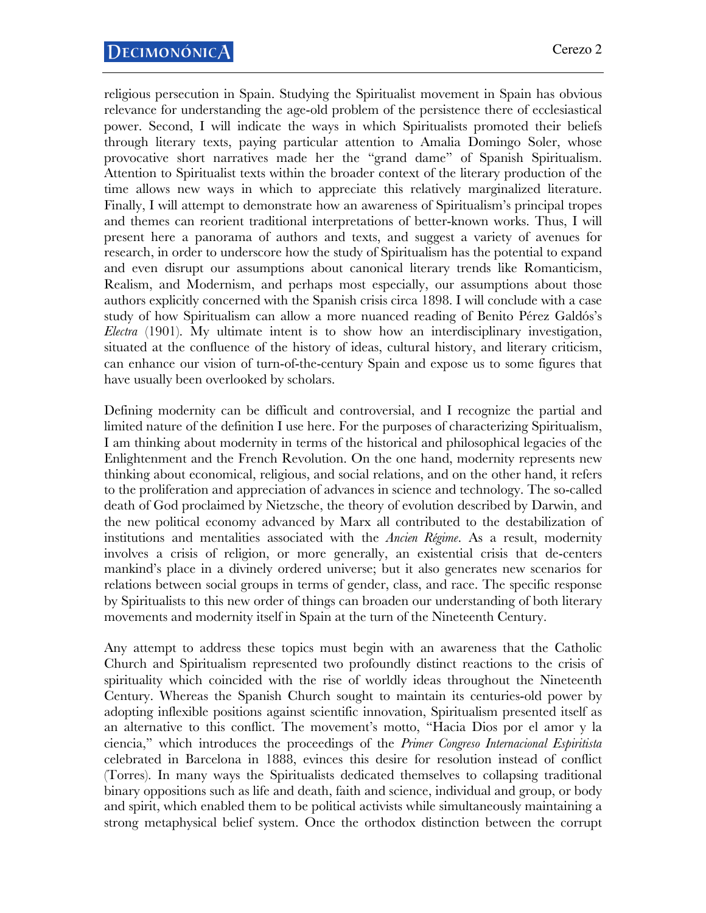religious persecution in Spain. Studying the Spiritualist movement in Spain has obvious relevance for understanding the age-old problem of the persistence there of ecclesiastical power. Second, I will indicate the ways in which Spiritualists promoted their beliefs through literary texts, paying particular attention to Amalia Domingo Soler, whose provocative short narratives made her the "grand dame" of Spanish Spiritualism. Attention to Spiritualist texts within the broader context of the literary production of the time allows new ways in which to appreciate this relatively marginalized literature. Finally, I will attempt to demonstrate how an awareness of Spiritualism's principal tropes and themes can reorient traditional interpretations of better-known works. Thus, I will present here a panorama of authors and texts, and suggest a variety of avenues for research, in order to underscore how the study of Spiritualism has the potential to expand and even disrupt our assumptions about canonical literary trends like Romanticism, Realism, and Modernism, and perhaps most especially, our assumptions about those authors explicitly concerned with the Spanish crisis circa 1898. I will conclude with a case study of how Spiritualism can allow a more nuanced reading of Benito Pérez Galdós's *Electra* (1901). My ultimate intent is to show how an interdisciplinary investigation, situated at the confluence of the history of ideas, cultural history, and literary criticism, can enhance our vision of turn-of-the-century Spain and expose us to some figures that have usually been overlooked by scholars.

Defining modernity can be difficult and controversial, and I recognize the partial and limited nature of the definition I use here. For the purposes of characterizing Spiritualism, I am thinking about modernity in terms of the historical and philosophical legacies of the Enlightenment and the French Revolution. On the one hand, modernity represents new thinking about economical, religious, and social relations, and on the other hand, it refers to the proliferation and appreciation of advances in science and technology. The so-called death of God proclaimed by Nietzsche, the theory of evolution described by Darwin, and the new political economy advanced by Marx all contributed to the destabilization of institutions and mentalities associated with the *Ancien Régime*. As a result, modernity involves a crisis of religion, or more generally, an existential crisis that de-centers mankind's place in a divinely ordered universe; but it also generates new scenarios for relations between social groups in terms of gender, class, and race. The specific response by Spiritualists to this new order of things can broaden our understanding of both literary movements and modernity itself in Spain at the turn of the Nineteenth Century.

Any attempt to address these topics must begin with an awareness that the Catholic Church and Spiritualism represented two profoundly distinct reactions to the crisis of spirituality which coincided with the rise of worldly ideas throughout the Nineteenth Century. Whereas the Spanish Church sought to maintain its centuries-old power by adopting inflexible positions against scientific innovation, Spiritualism presented itself as an alternative to this conflict. The movement's motto, "Hacia Dios por el amor y la ciencia," which introduces the proceedings of the *Primer Congreso Internacional Espiritista*  celebrated in Barcelona in 1888, evinces this desire for resolution instead of conflict (Torres). In many ways the Spiritualists dedicated themselves to collapsing traditional binary oppositions such as life and death, faith and science, individual and group, or body and spirit, which enabled them to be political activists while simultaneously maintaining a strong metaphysical belief system. Once the orthodox distinction between the corrupt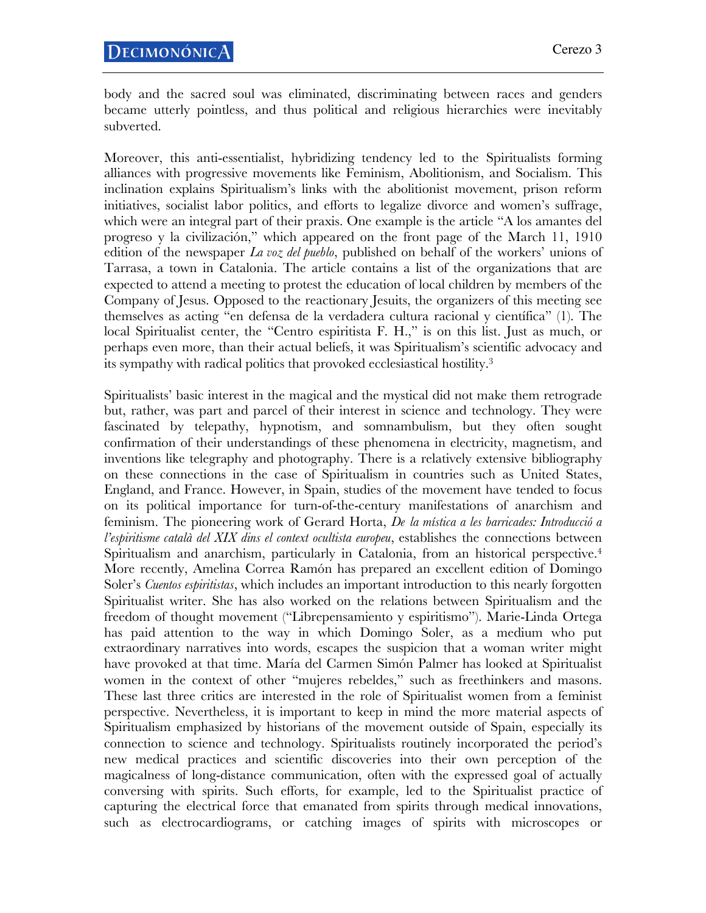body and the sacred soul was eliminated, discriminating between races and genders became utterly pointless, and thus political and religious hierarchies were inevitably subverted.

Moreover, this anti-essentialist, hybridizing tendency led to the Spiritualists forming alliances with progressive movements like Feminism, Abolitionism, and Socialism. This inclination explains Spiritualism's links with the abolitionist movement, prison reform initiatives, socialist labor politics, and efforts to legalize divorce and women's suffrage, which were an integral part of their praxis. One example is the article "A los amantes del progreso y la civilización," which appeared on the front page of the March 11, 1910 edition of the newspaper *La voz del pueblo*, published on behalf of the workers' unions of Tarrasa, a town in Catalonia. The article contains a list of the organizations that are expected to attend a meeting to protest the education of local children by members of the Company of Jesus. Opposed to the reactionary Jesuits, the organizers of this meeting see themselves as acting "en defensa de la verdadera cultura racional y científica" (1). The local Spiritualist center, the "Centro espiritista F. H.," is on this list. Just as much, or perhaps even more, than their actual beliefs, it was Spiritualism's scientific advocacy and its sympathy with radical politics that provoked ecclesiastical hostility.3

Spiritualists' basic interest in the magical and the mystical did not make them retrograde but, rather, was part and parcel of their interest in science and technology. They were fascinated by telepathy, hypnotism, and somnambulism, but they often sought confirmation of their understandings of these phenomena in electricity, magnetism, and inventions like telegraphy and photography. There is a relatively extensive bibliography on these connections in the case of Spiritualism in countries such as United States, England, and France. However, in Spain, studies of the movement have tended to focus on its political importance for turn-of-the-century manifestations of anarchism and feminism. The pioneering work of Gerard Horta, *De la mística a les barricades: Introducció a l'espiritisme català del XIX dins el context ocultista europeu*, establishes the connections between Spiritualism and anarchism, particularly in Catalonia, from an historical perspective.<sup>4</sup> More recently, Amelina Correa Ramón has prepared an excellent edition of Domingo Soler's *Cuentos espiritistas*, which includes an important introduction to this nearly forgotten Spiritualist writer. She has also worked on the relations between Spiritualism and the freedom of thought movement ("Librepensamiento y espiritismo"). Marie-Linda Ortega has paid attention to the way in which Domingo Soler, as a medium who put extraordinary narratives into words, escapes the suspicion that a woman writer might have provoked at that time. María del Carmen Simón Palmer has looked at Spiritualist women in the context of other "mujeres rebeldes," such as freethinkers and masons. These last three critics are interested in the role of Spiritualist women from a feminist perspective. Nevertheless, it is important to keep in mind the more material aspects of Spiritualism emphasized by historians of the movement outside of Spain, especially its connection to science and technology. Spiritualists routinely incorporated the period's new medical practices and scientific discoveries into their own perception of the magicalness of long-distance communication, often with the expressed goal of actually conversing with spirits. Such efforts, for example, led to the Spiritualist practice of capturing the electrical force that emanated from spirits through medical innovations, such as electrocardiograms, or catching images of spirits with microscopes or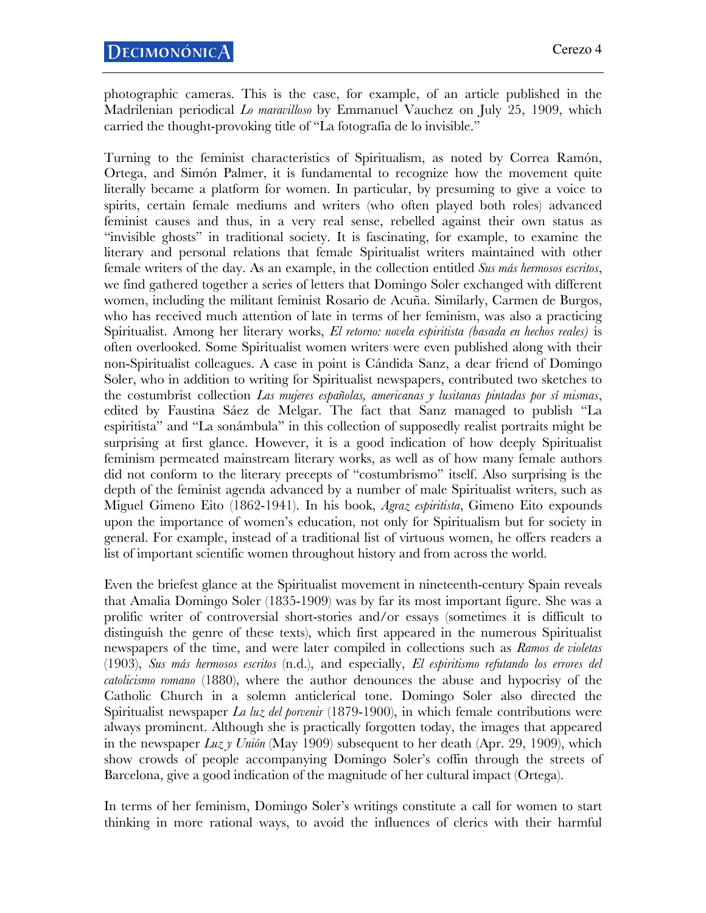photographic cameras. This is the case, for example, of an article published in the Madrilenian periodical *Lo maravilloso* by Emmanuel Vauchez on July 25, 1909, which carried the thought-provoking title of "La fotografía de lo invisible."

Turning to the feminist characteristics of Spiritualism, as noted by Correa Ramón, Ortega, and Simón Palmer, it is fundamental to recognize how the movement quite literally became a platform for women. In particular, by presuming to give a voice to spirits, certain female mediums and writers (who often played both roles) advanced feminist causes and thus, in a very real sense, rebelled against their own status as "invisible ghosts" in traditional society. It is fascinating, for example, to examine the literary and personal relations that female Spiritualist writers maintained with other female writers of the day. As an example, in the collection entitled *Sus más hermosos escritos*, we find gathered together a series of letters that Domingo Soler exchanged with different women, including the militant feminist Rosario de Acuña. Similarly, Carmen de Burgos, who has received much attention of late in terms of her feminism, was also a practicing Spiritualist. Among her literary works, *El retorno: novela espiritista (basada en hechos reales)* is often overlooked. Some Spiritualist women writers were even published along with their non-Spiritualist colleagues. A case in point is Cándida Sanz, a dear friend of Domingo Soler, who in addition to writing for Spiritualist newspapers, contributed two sketches to the costumbrist collection *Las mujeres españolas, americanas y lusitanas pintadas por sí mismas*, edited by Faustina Sáez de Melgar. The fact that Sanz managed to publish "La espiritista" and "La sonámbula" in this collection of supposedly realist portraits might be surprising at first glance. However, it is a good indication of how deeply Spiritualist feminism permeated mainstream literary works, as well as of how many female authors did not conform to the literary precepts of "costumbrismo" itself. Also surprising is the depth of the feminist agenda advanced by a number of male Spiritualist writers, such as Miguel Gimeno Eito (1862-1941). In his book, *Agraz espiritista*, Gimeno Eito expounds upon the importance of women's education, not only for Spiritualism but for society in general. For example, instead of a traditional list of virtuous women, he offers readers a list of important scientific women throughout history and from across the world.

Even the briefest glance at the Spiritualist movement in nineteenth-century Spain reveals that Amalia Domingo Soler (1835-1909) was by far its most important figure. She was a prolific writer of controversial short-stories and/or essays (sometimes it is difficult to distinguish the genre of these texts), which first appeared in the numerous Spiritualist newspapers of the time, and were later compiled in collections such as *Ramos de violetas* (1903), *Sus más hermosos escritos* (n.d.), and especially, *El espiritismo refutando los errores del catolicismo romano* (1880), where the author denounces the abuse and hypocrisy of the Catholic Church in a solemn anticlerical tone. Domingo Soler also directed the Spiritualist newspaper *La luz del porvenir* (1879-1900), in which female contributions were always prominent. Although she is practically forgotten today, the images that appeared in the newspaper *Luz y Unión* (May 1909) subsequent to her death (Apr. 29, 1909), which show crowds of people accompanying Domingo Soler's coffin through the streets of Barcelona, give a good indication of the magnitude of her cultural impact (Ortega).

In terms of her feminism, Domingo Soler's writings constitute a call for women to start thinking in more rational ways, to avoid the influences of clerics with their harmful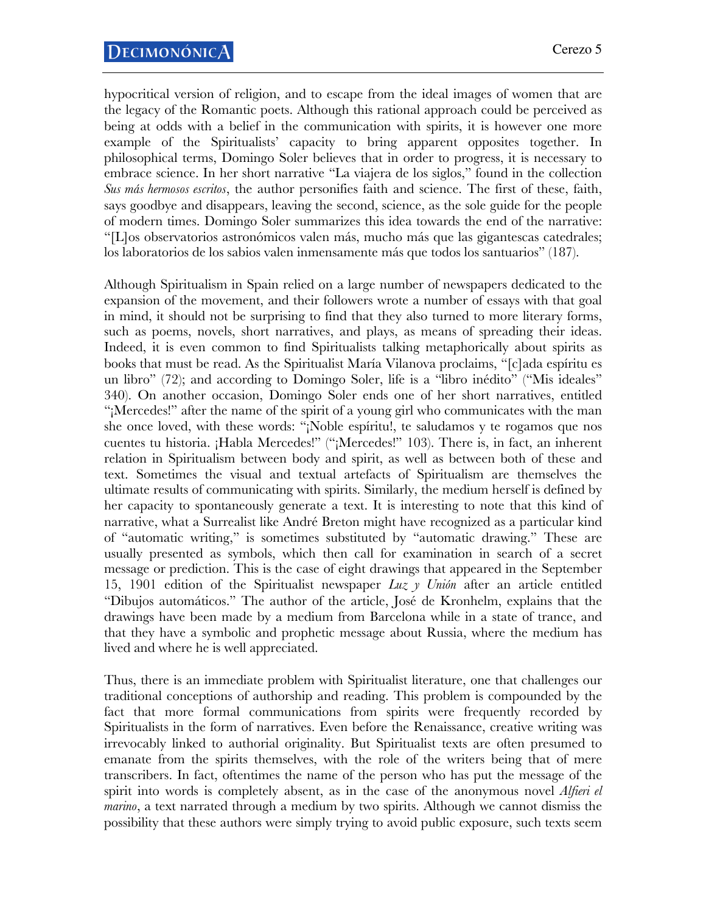hypocritical version of religion, and to escape from the ideal images of women that are the legacy of the Romantic poets. Although this rational approach could be perceived as being at odds with a belief in the communication with spirits, it is however one more example of the Spiritualists' capacity to bring apparent opposites together. In philosophical terms, Domingo Soler believes that in order to progress, it is necessary to embrace science. In her short narrative "La viajera de los siglos," found in the collection *Sus más hermosos escritos*, the author personifies faith and science. The first of these, faith, says goodbye and disappears, leaving the second, science, as the sole guide for the people of modern times. Domingo Soler summarizes this idea towards the end of the narrative: "[L]os observatorios astronómicos valen más, mucho más que las gigantescas catedrales; los laboratorios de los sabios valen inmensamente más que todos los santuarios" (187).

Although Spiritualism in Spain relied on a large number of newspapers dedicated to the expansion of the movement, and their followers wrote a number of essays with that goal in mind, it should not be surprising to find that they also turned to more literary forms, such as poems, novels, short narratives, and plays, as means of spreading their ideas. Indeed, it is even common to find Spiritualists talking metaphorically about spirits as books that must be read. As the Spiritualist María Vilanova proclaims, "[c]ada espíritu es un libro" (72); and according to Domingo Soler, life is a "libro inédito" ("Mis ideales" 340). On another occasion, Domingo Soler ends one of her short narratives, entitled "¡Mercedes!" after the name of the spirit of a young girl who communicates with the man she once loved, with these words: "¡Noble espíritu!, te saludamos y te rogamos que nos cuentes tu historia. ¡Habla Mercedes!" ("¡Mercedes!" 103). There is, in fact, an inherent relation in Spiritualism between body and spirit, as well as between both of these and text. Sometimes the visual and textual artefacts of Spiritualism are themselves the ultimate results of communicating with spirits. Similarly, the medium herself is defined by her capacity to spontaneously generate a text. It is interesting to note that this kind of narrative, what a Surrealist like André Breton might have recognized as a particular kind of "automatic writing," is sometimes substituted by "automatic drawing." These are usually presented as symbols, which then call for examination in search of a secret message or prediction. This is the case of eight drawings that appeared in the September 15, 1901 edition of the Spiritualist newspaper *Luz y Unión* after an article entitled "Dibujos automáticos." The author of the article, José de Kronhelm, explains that the drawings have been made by a medium from Barcelona while in a state of trance, and that they have a symbolic and prophetic message about Russia, where the medium has lived and where he is well appreciated.

Thus, there is an immediate problem with Spiritualist literature, one that challenges our traditional conceptions of authorship and reading. This problem is compounded by the fact that more formal communications from spirits were frequently recorded by Spiritualists in the form of narratives. Even before the Renaissance, creative writing was irrevocably linked to authorial originality. But Spiritualist texts are often presumed to emanate from the spirits themselves, with the role of the writers being that of mere transcribers. In fact, oftentimes the name of the person who has put the message of the spirit into words is completely absent, as in the case of the anonymous novel *Alfieri el marino*, a text narrated through a medium by two spirits. Although we cannot dismiss the possibility that these authors were simply trying to avoid public exposure, such texts seem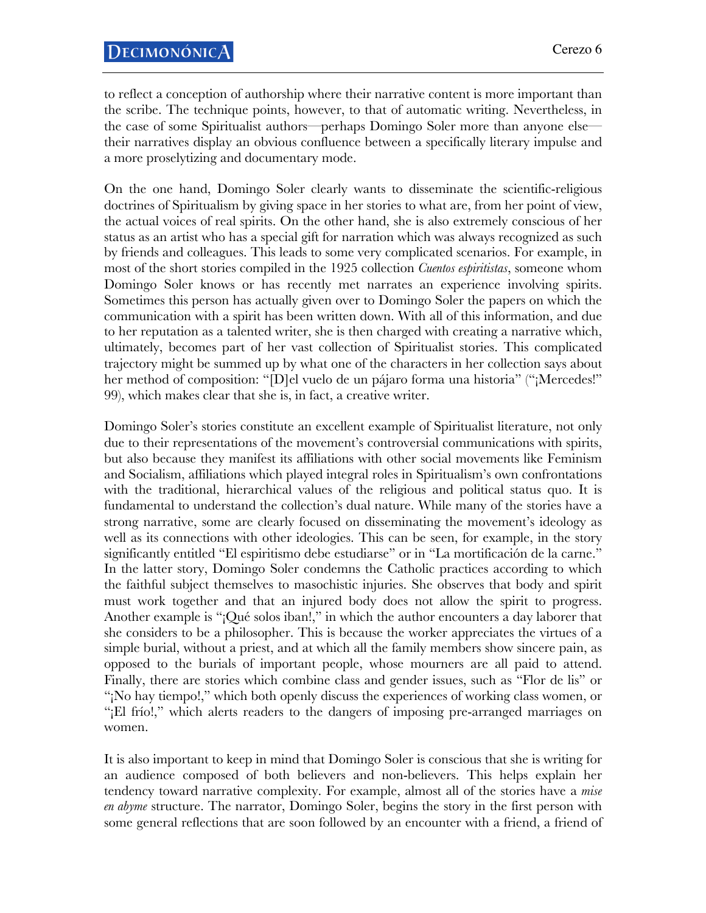to reflect a conception of authorship where their narrative content is more important than the scribe. The technique points, however, to that of automatic writing. Nevertheless, in the case of some Spiritualist authors—perhaps Domingo Soler more than anyone else their narratives display an obvious confluence between a specifically literary impulse and a more proselytizing and documentary mode.

On the one hand, Domingo Soler clearly wants to disseminate the scientific-religious doctrines of Spiritualism by giving space in her stories to what are, from her point of view, the actual voices of real spirits. On the other hand, she is also extremely conscious of her status as an artist who has a special gift for narration which was always recognized as such by friends and colleagues. This leads to some very complicated scenarios. For example, in most of the short stories compiled in the 1925 collection *Cuentos espiritistas*, someone whom Domingo Soler knows or has recently met narrates an experience involving spirits. Sometimes this person has actually given over to Domingo Soler the papers on which the communication with a spirit has been written down. With all of this information, and due to her reputation as a talented writer, she is then charged with creating a narrative which, ultimately, becomes part of her vast collection of Spiritualist stories. This complicated trajectory might be summed up by what one of the characters in her collection says about her method of composition: "[D]el vuelo de un pájaro forma una historia" ("¡Mercedes!" 99), which makes clear that she is, in fact, a creative writer.

Domingo Soler's stories constitute an excellent example of Spiritualist literature, not only due to their representations of the movement's controversial communications with spirits, but also because they manifest its affiliations with other social movements like Feminism and Socialism, affiliations which played integral roles in Spiritualism's own confrontations with the traditional, hierarchical values of the religious and political status quo. It is fundamental to understand the collection's dual nature. While many of the stories have a strong narrative, some are clearly focused on disseminating the movement's ideology as well as its connections with other ideologies. This can be seen, for example, in the story significantly entitled "El espiritismo debe estudiarse" or in "La mortificación de la carne." In the latter story, Domingo Soler condemns the Catholic practices according to which the faithful subject themselves to masochistic injuries. She observes that body and spirit must work together and that an injured body does not allow the spirit to progress. Another example is "¡Qué solos iban!," in which the author encounters a day laborer that she considers to be a philosopher. This is because the worker appreciates the virtues of a simple burial, without a priest, and at which all the family members show sincere pain, as opposed to the burials of important people, whose mourners are all paid to attend. Finally, there are stories which combine class and gender issues, such as "Flor de lis" or "¡No hay tiempo!," which both openly discuss the experiences of working class women, or "¡El frío!," which alerts readers to the dangers of imposing pre-arranged marriages on women.

It is also important to keep in mind that Domingo Soler is conscious that she is writing for an audience composed of both believers and non-believers. This helps explain her tendency toward narrative complexity. For example, almost all of the stories have a *mise en abyme* structure. The narrator, Domingo Soler, begins the story in the first person with some general reflections that are soon followed by an encounter with a friend, a friend of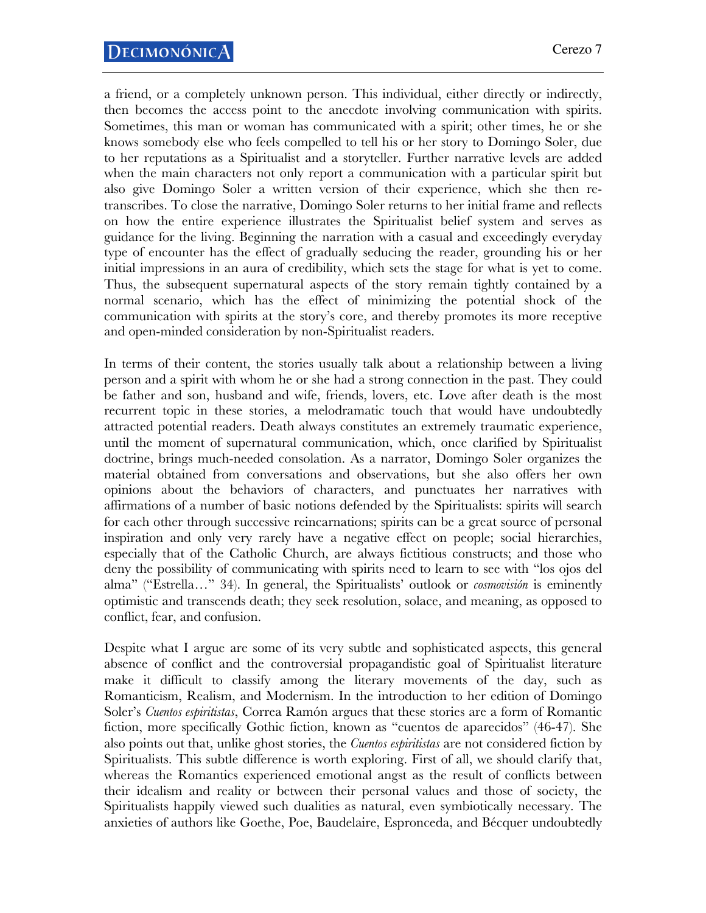a friend, or a completely unknown person. This individual, either directly or indirectly, then becomes the access point to the anecdote involving communication with spirits. Sometimes, this man or woman has communicated with a spirit; other times, he or she knows somebody else who feels compelled to tell his or her story to Domingo Soler, due to her reputations as a Spiritualist and a storyteller. Further narrative levels are added when the main characters not only report a communication with a particular spirit but also give Domingo Soler a written version of their experience, which she then retranscribes. To close the narrative, Domingo Soler returns to her initial frame and reflects on how the entire experience illustrates the Spiritualist belief system and serves as guidance for the living. Beginning the narration with a casual and exceedingly everyday type of encounter has the effect of gradually seducing the reader, grounding his or her initial impressions in an aura of credibility, which sets the stage for what is yet to come. Thus, the subsequent supernatural aspects of the story remain tightly contained by a normal scenario, which has the effect of minimizing the potential shock of the communication with spirits at the story's core, and thereby promotes its more receptive and open-minded consideration by non-Spiritualist readers.

In terms of their content, the stories usually talk about a relationship between a living person and a spirit with whom he or she had a strong connection in the past. They could be father and son, husband and wife, friends, lovers, etc. Love after death is the most recurrent topic in these stories, a melodramatic touch that would have undoubtedly attracted potential readers. Death always constitutes an extremely traumatic experience, until the moment of supernatural communication, which, once clarified by Spiritualist doctrine, brings much-needed consolation. As a narrator, Domingo Soler organizes the material obtained from conversations and observations, but she also offers her own opinions about the behaviors of characters, and punctuates her narratives with affirmations of a number of basic notions defended by the Spiritualists: spirits will search for each other through successive reincarnations; spirits can be a great source of personal inspiration and only very rarely have a negative effect on people; social hierarchies, especially that of the Catholic Church, are always fictitious constructs; and those who deny the possibility of communicating with spirits need to learn to see with "los ojos del alma" ("Estrella…" 34). In general, the Spiritualists' outlook or *cosmovisión* is eminently optimistic and transcends death; they seek resolution, solace, and meaning, as opposed to conflict, fear, and confusion.

Despite what I argue are some of its very subtle and sophisticated aspects, this general absence of conflict and the controversial propagandistic goal of Spiritualist literature make it difficult to classify among the literary movements of the day, such as Romanticism, Realism, and Modernism. In the introduction to her edition of Domingo Soler's *Cuentos espiritistas*, Correa Ramón argues that these stories are a form of Romantic fiction, more specifically Gothic fiction, known as "cuentos de aparecidos" (46-47). She also points out that, unlike ghost stories, the *Cuentos espiritistas* are not considered fiction by Spiritualists. This subtle difference is worth exploring. First of all, we should clarify that, whereas the Romantics experienced emotional angst as the result of conflicts between their idealism and reality or between their personal values and those of society, the Spiritualists happily viewed such dualities as natural, even symbiotically necessary. The anxieties of authors like Goethe, Poe, Baudelaire, Espronceda, and Bécquer undoubtedly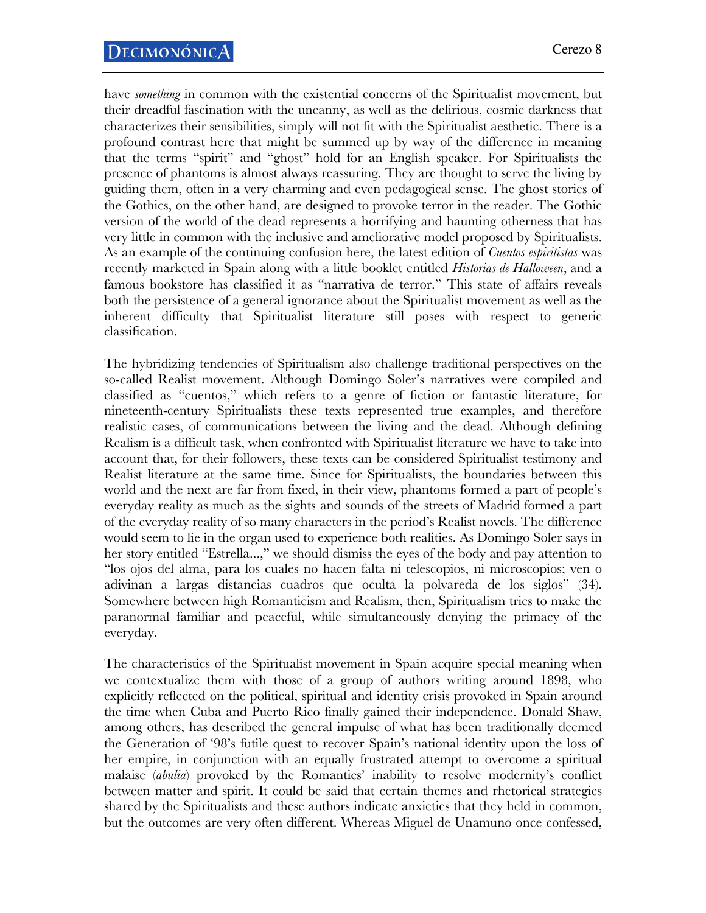have *something* in common with the existential concerns of the Spiritualist movement, but their dreadful fascination with the uncanny, as well as the delirious, cosmic darkness that characterizes their sensibilities, simply will not fit with the Spiritualist aesthetic. There is a profound contrast here that might be summed up by way of the difference in meaning that the terms "spirit" and "ghost" hold for an English speaker. For Spiritualists the presence of phantoms is almost always reassuring. They are thought to serve the living by guiding them, often in a very charming and even pedagogical sense. The ghost stories of the Gothics, on the other hand, are designed to provoke terror in the reader. The Gothic version of the world of the dead represents a horrifying and haunting otherness that has very little in common with the inclusive and ameliorative model proposed by Spiritualists. As an example of the continuing confusion here, the latest edition of *Cuentos espiritistas* was recently marketed in Spain along with a little booklet entitled *Historias de Halloween*, and a famous bookstore has classified it as "narrativa de terror." This state of affairs reveals both the persistence of a general ignorance about the Spiritualist movement as well as the inherent difficulty that Spiritualist literature still poses with respect to generic classification.

The hybridizing tendencies of Spiritualism also challenge traditional perspectives on the so-called Realist movement. Although Domingo Soler's narratives were compiled and classified as "cuentos," which refers to a genre of fiction or fantastic literature, for nineteenth-century Spiritualists these texts represented true examples, and therefore realistic cases, of communications between the living and the dead. Although defining Realism is a difficult task, when confronted with Spiritualist literature we have to take into account that, for their followers, these texts can be considered Spiritualist testimony and Realist literature at the same time. Since for Spiritualists, the boundaries between this world and the next are far from fixed, in their view, phantoms formed a part of people's everyday reality as much as the sights and sounds of the streets of Madrid formed a part of the everyday reality of so many characters in the period's Realist novels. The difference would seem to lie in the organ used to experience both realities. As Domingo Soler says in her story entitled "Estrella...," we should dismiss the eyes of the body and pay attention to "los ojos del alma, para los cuales no hacen falta ni telescopios, ni microscopios; ven o adivinan a largas distancias cuadros que oculta la polvareda de los siglos" (34). Somewhere between high Romanticism and Realism, then, Spiritualism tries to make the paranormal familiar and peaceful, while simultaneously denying the primacy of the everyday.

The characteristics of the Spiritualist movement in Spain acquire special meaning when we contextualize them with those of a group of authors writing around 1898, who explicitly reflected on the political, spiritual and identity crisis provoked in Spain around the time when Cuba and Puerto Rico finally gained their independence. Donald Shaw, among others, has described the general impulse of what has been traditionally deemed the Generation of '98's futile quest to recover Spain's national identity upon the loss of her empire, in conjunction with an equally frustrated attempt to overcome a spiritual malaise (*abulia*) provoked by the Romantics' inability to resolve modernity's conflict between matter and spirit. It could be said that certain themes and rhetorical strategies shared by the Spiritualists and these authors indicate anxieties that they held in common, but the outcomes are very often different. Whereas Miguel de Unamuno once confessed,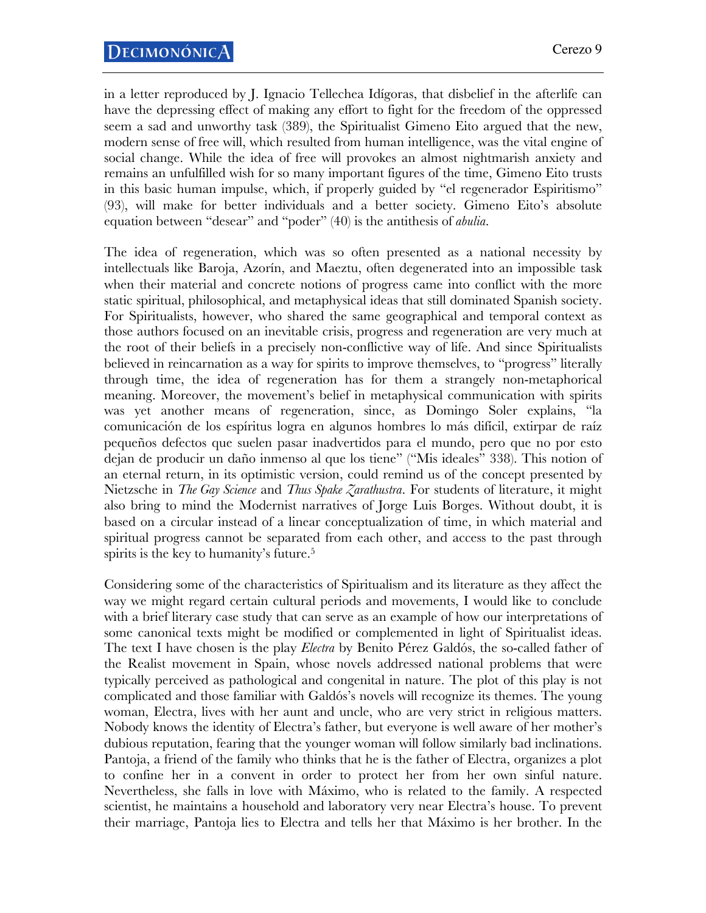in a letter reproduced by J. Ignacio Tellechea Idígoras, that disbelief in the afterlife can have the depressing effect of making any effort to fight for the freedom of the oppressed seem a sad and unworthy task (389), the Spiritualist Gimeno Eito argued that the new, modern sense of free will, which resulted from human intelligence, was the vital engine of social change. While the idea of free will provokes an almost nightmarish anxiety and remains an unfulfilled wish for so many important figures of the time, Gimeno Eito trusts in this basic human impulse, which, if properly guided by "el regenerador Espiritismo" (93), will make for better individuals and a better society. Gimeno Eito's absolute equation between "desear" and "poder" (40) is the antithesis of *abulia*.

The idea of regeneration, which was so often presented as a national necessity by intellectuals like Baroja, Azorín, and Maeztu, often degenerated into an impossible task when their material and concrete notions of progress came into conflict with the more static spiritual, philosophical, and metaphysical ideas that still dominated Spanish society. For Spiritualists, however, who shared the same geographical and temporal context as those authors focused on an inevitable crisis, progress and regeneration are very much at the root of their beliefs in a precisely non-conflictive way of life. And since Spiritualists believed in reincarnation as a way for spirits to improve themselves, to "progress" literally through time, the idea of regeneration has for them a strangely non-metaphorical meaning. Moreover, the movement's belief in metaphysical communication with spirits was yet another means of regeneration, since, as Domingo Soler explains, "la comunicación de los espíritus logra en algunos hombres lo más difícil, extirpar de raíz pequeños defectos que suelen pasar inadvertidos para el mundo, pero que no por esto dejan de producir un daño inmenso al que los tiene" ("Mis ideales" 338). This notion of an eternal return, in its optimistic version, could remind us of the concept presented by Nietzsche in *The Gay Science* and *Thus Spake Zarathustra*. For students of literature, it might also bring to mind the Modernist narratives of Jorge Luis Borges. Without doubt, it is based on a circular instead of a linear conceptualization of time, in which material and spiritual progress cannot be separated from each other, and access to the past through spirits is the key to humanity's future.<sup>5</sup>

Considering some of the characteristics of Spiritualism and its literature as they affect the way we might regard certain cultural periods and movements, I would like to conclude with a brief literary case study that can serve as an example of how our interpretations of some canonical texts might be modified or complemented in light of Spiritualist ideas. The text I have chosen is the play *Electra* by Benito Pérez Galdós, the so-called father of the Realist movement in Spain, whose novels addressed national problems that were typically perceived as pathological and congenital in nature. The plot of this play is not complicated and those familiar with Galdós's novels will recognize its themes. The young woman, Electra, lives with her aunt and uncle, who are very strict in religious matters. Nobody knows the identity of Electra's father, but everyone is well aware of her mother's dubious reputation, fearing that the younger woman will follow similarly bad inclinations. Pantoja, a friend of the family who thinks that he is the father of Electra, organizes a plot to confine her in a convent in order to protect her from her own sinful nature. Nevertheless, she falls in love with Máximo, who is related to the family. A respected scientist, he maintains a household and laboratory very near Electra's house. To prevent their marriage, Pantoja lies to Electra and tells her that Máximo is her brother. In the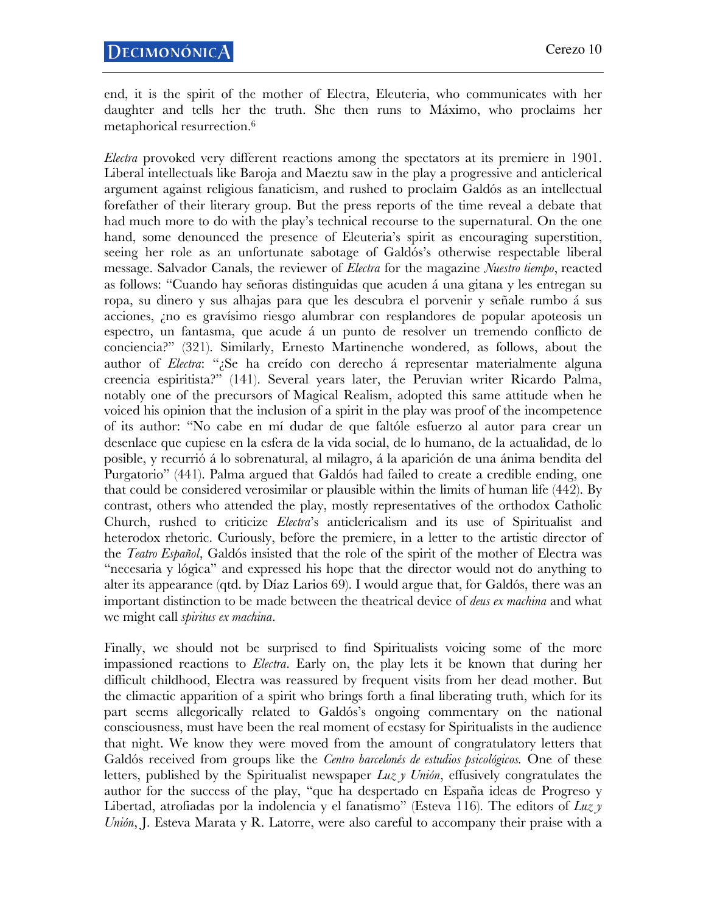end, it is the spirit of the mother of Electra, Eleuteria, who communicates with her daughter and tells her the truth. She then runs to Máximo, who proclaims her metaphorical resurrection.6

*Electra* provoked very different reactions among the spectators at its premiere in 1901. Liberal intellectuals like Baroja and Maeztu saw in the play a progressive and anticlerical argument against religious fanaticism, and rushed to proclaim Galdós as an intellectual forefather of their literary group. But the press reports of the time reveal a debate that had much more to do with the play's technical recourse to the supernatural. On the one hand, some denounced the presence of Eleuteria's spirit as encouraging superstition, seeing her role as an unfortunate sabotage of Galdós's otherwise respectable liberal message. Salvador Canals, the reviewer of *Electra* for the magazine *Nuestro tiempo*, reacted as follows: "Cuando hay señoras distinguidas que acuden á una gitana y les entregan su ropa, su dinero y sus alhajas para que les descubra el porvenir y señale rumbo á sus acciones, ¿no es gravísimo riesgo alumbrar con resplandores de popular apoteosis un espectro, un fantasma, que acude á un punto de resolver un tremendo conflicto de conciencia?" (321). Similarly, Ernesto Martinenche wondered, as follows, about the author of *Electra*: "¿Se ha creído con derecho á representar materialmente alguna creencia espiritista?" (141). Several years later, the Peruvian writer Ricardo Palma, notably one of the precursors of Magical Realism, adopted this same attitude when he voiced his opinion that the inclusion of a spirit in the play was proof of the incompetence of its author: "No cabe en mí dudar de que faltóle esfuerzo al autor para crear un desenlace que cupiese en la esfera de la vida social, de lo humano, de la actualidad, de lo posible, y recurrió á lo sobrenatural, al milagro, á la aparición de una ánima bendita del Purgatorio" (441). Palma argued that Galdós had failed to create a credible ending, one that could be considered verosimilar or plausible within the limits of human life (442). By contrast, others who attended the play, mostly representatives of the orthodox Catholic Church, rushed to criticize *Electra*'s anticlericalism and its use of Spiritualist and heterodox rhetoric. Curiously, before the premiere, in a letter to the artistic director of the *Teatro Español*, Galdós insisted that the role of the spirit of the mother of Electra was "necesaria y lógica" and expressed his hope that the director would not do anything to alter its appearance (qtd. by Díaz Larios 69). I would argue that, for Galdós, there was an important distinction to be made between the theatrical device of *deus ex machina* and what we might call *spiritus ex machina*.

Finally, we should not be surprised to find Spiritualists voicing some of the more impassioned reactions to *Electra*. Early on, the play lets it be known that during her difficult childhood, Electra was reassured by frequent visits from her dead mother. But the climactic apparition of a spirit who brings forth a final liberating truth, which for its part seems allegorically related to Galdós's ongoing commentary on the national consciousness, must have been the real moment of ecstasy for Spiritualists in the audience that night. We know they were moved from the amount of congratulatory letters that Galdós received from groups like the *Centro barcelonés de estudios psicológicos.* One of these letters, published by the Spiritualist newspaper *Luz y Unión*, effusively congratulates the author for the success of the play, "que ha despertado en España ideas de Progreso y Libertad, atrofiadas por la indolencia y el fanatismo" (Esteva 116). The editors of *Luz y Unión*, J. Esteva Marata y R. Latorre, were also careful to accompany their praise with a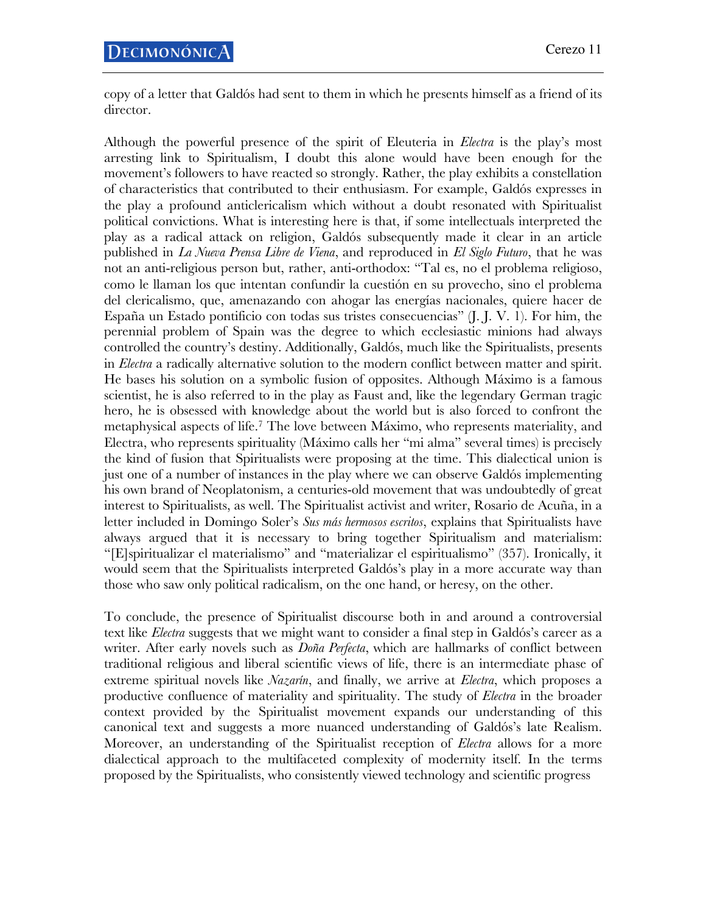copy of a letter that Galdós had sent to them in which he presents himself as a friend of its director.

Although the powerful presence of the spirit of Eleuteria in *Electra* is the play's most arresting link to Spiritualism, I doubt this alone would have been enough for the movement's followers to have reacted so strongly. Rather, the play exhibits a constellation of characteristics that contributed to their enthusiasm. For example, Galdós expresses in the play a profound anticlericalism which without a doubt resonated with Spiritualist political convictions. What is interesting here is that, if some intellectuals interpreted the play as a radical attack on religion, Galdós subsequently made it clear in an article published in *La Nueva Prensa Libre de Viena*, and reproduced in *El Siglo Futuro*, that he was not an anti-religious person but, rather, anti-orthodox: "Tal es, no el problema religioso, como le llaman los que intentan confundir la cuestión en su provecho, sino el problema del clericalismo, que, amenazando con ahogar las energías nacionales, quiere hacer de España un Estado pontificio con todas sus tristes consecuencias" (J. J. V. 1). For him, the perennial problem of Spain was the degree to which ecclesiastic minions had always controlled the country's destiny. Additionally, Galdós, much like the Spiritualists, presents in *Electra* a radically alternative solution to the modern conflict between matter and spirit. He bases his solution on a symbolic fusion of opposites. Although Máximo is a famous scientist, he is also referred to in the play as Faust and, like the legendary German tragic hero, he is obsessed with knowledge about the world but is also forced to confront the metaphysical aspects of life.7 The love between Máximo, who represents materiality, and Electra, who represents spirituality (Máximo calls her "mi alma" several times) is precisely the kind of fusion that Spiritualists were proposing at the time. This dialectical union is just one of a number of instances in the play where we can observe Galdós implementing his own brand of Neoplatonism, a centuries-old movement that was undoubtedly of great interest to Spiritualists, as well. The Spiritualist activist and writer, Rosario de Acuña, in a letter included in Domingo Soler's *Sus más hermosos escritos*, explains that Spiritualists have always argued that it is necessary to bring together Spiritualism and materialism: "[E]spiritualizar el materialismo" and "materializar el espiritualismo" (357). Ironically, it would seem that the Spiritualists interpreted Galdós's play in a more accurate way than those who saw only political radicalism, on the one hand, or heresy, on the other.

To conclude, the presence of Spiritualist discourse both in and around a controversial text like *Electra* suggests that we might want to consider a final step in Galdós's career as a writer. After early novels such as *Doña Perfecta*, which are hallmarks of conflict between traditional religious and liberal scientific views of life, there is an intermediate phase of extreme spiritual novels like *Nazarín*, and finally, we arrive at *Electra*, which proposes a productive confluence of materiality and spirituality. The study of *Electra* in the broader context provided by the Spiritualist movement expands our understanding of this canonical text and suggests a more nuanced understanding of Galdós's late Realism. Moreover, an understanding of the Spiritualist reception of *Electra* allows for a more dialectical approach to the multifaceted complexity of modernity itself. In the terms proposed by the Spiritualists, who consistently viewed technology and scientific progress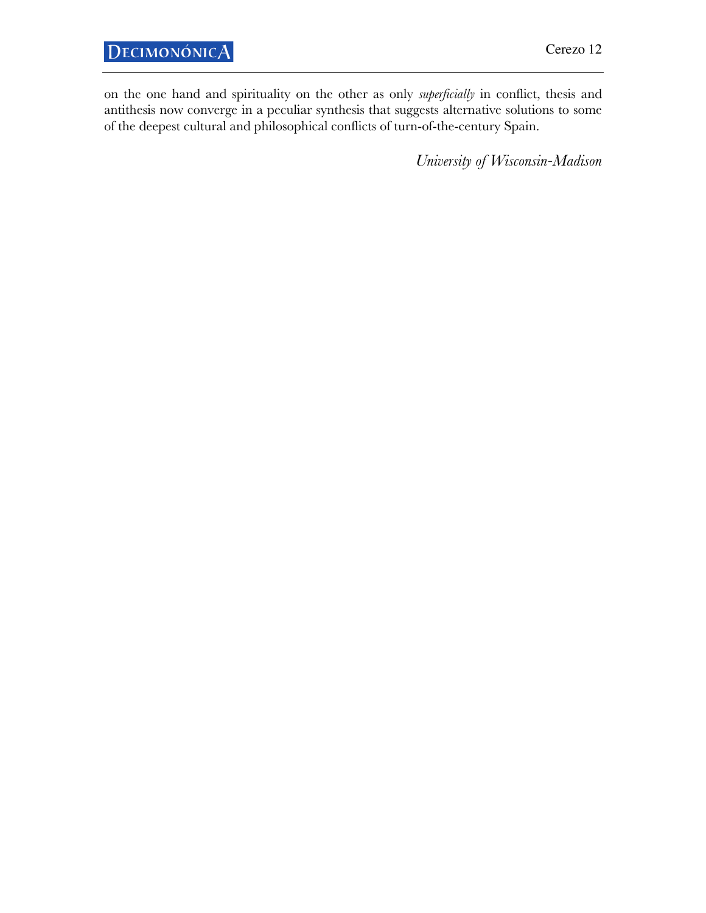on the one hand and spirituality on the other as only *superficially* in conflict, thesis and antithesis now converge in a peculiar synthesis that suggests alternative solutions to some of the deepest cultural and philosophical conflicts of turn-of-the-century Spain.

*University of Wisconsin-Madison*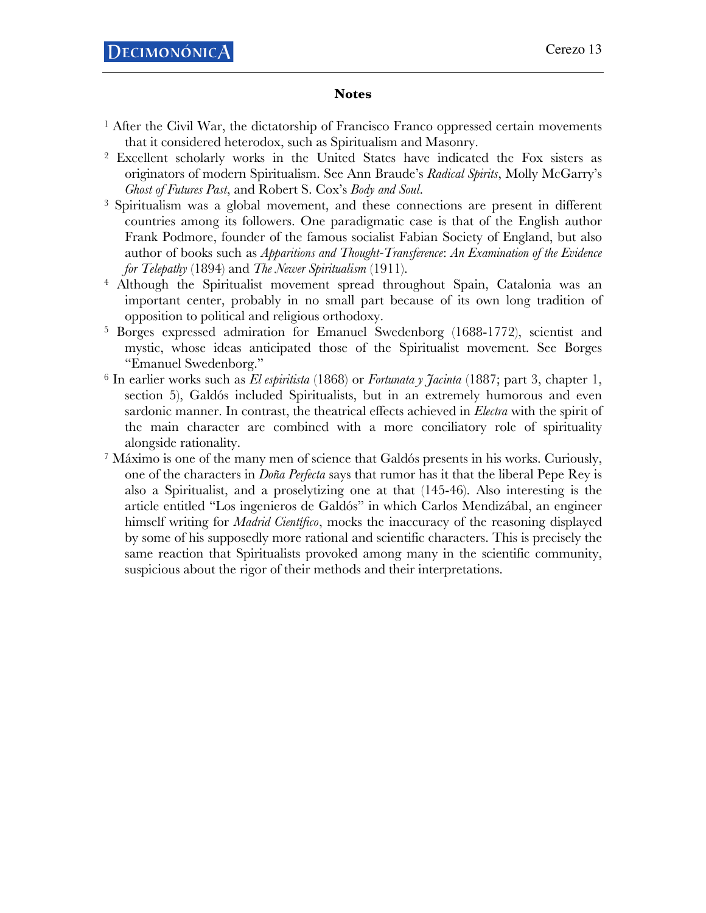## **Notes**

- <sup>1</sup> After the Civil War, the dictatorship of Francisco Franco oppressed certain movements that it considered heterodox, such as Spiritualism and Masonry.
- <sup>2</sup> Excellent scholarly works in the United States have indicated the Fox sisters as originators of modern Spiritualism. See Ann Braude's *Radical Spirits*, Molly McGarry's *Ghost of Futures Past*, and Robert S. Cox's *Body and Soul*.
- <sup>3</sup> Spiritualism was a global movement, and these connections are present in different countries among its followers. One paradigmatic case is that of the English author Frank Podmore, founder of the famous socialist Fabian Society of England, but also author of books such as *Apparitions and Thought-Transference*: *An Examination of the Evidence for Telepathy* (1894) and *The Newer Spiritualism* (1911).
- <sup>4</sup> Although the Spiritualist movement spread throughout Spain, Catalonia was an important center, probably in no small part because of its own long tradition of opposition to political and religious orthodoxy.
- <sup>5</sup> Borges expressed admiration for Emanuel Swedenborg (1688-1772), scientist and mystic, whose ideas anticipated those of the Spiritualist movement. See Borges "Emanuel Swedenborg."
- <sup>6</sup> In earlier works such as *El espiritista* (1868) or *Fortunata y Jacinta* (1887; part 3, chapter 1, section 5), Galdós included Spiritualists, but in an extremely humorous and even sardonic manner. In contrast, the theatrical effects achieved in *Electra* with the spirit of the main character are combined with a more conciliatory role of spirituality alongside rationality.
- <sup>7</sup> Máximo is one of the many men of science that Galdós presents in his works. Curiously, one of the characters in *Doña Perfecta* says that rumor has it that the liberal Pepe Rey is also a Spiritualist, and a proselytizing one at that (145-46). Also interesting is the article entitled "Los ingenieros de Galdós" in which Carlos Mendizábal, an engineer himself writing for *Madrid Científico*, mocks the inaccuracy of the reasoning displayed by some of his supposedly more rational and scientific characters. This is precisely the same reaction that Spiritualists provoked among many in the scientific community, suspicious about the rigor of their methods and their interpretations.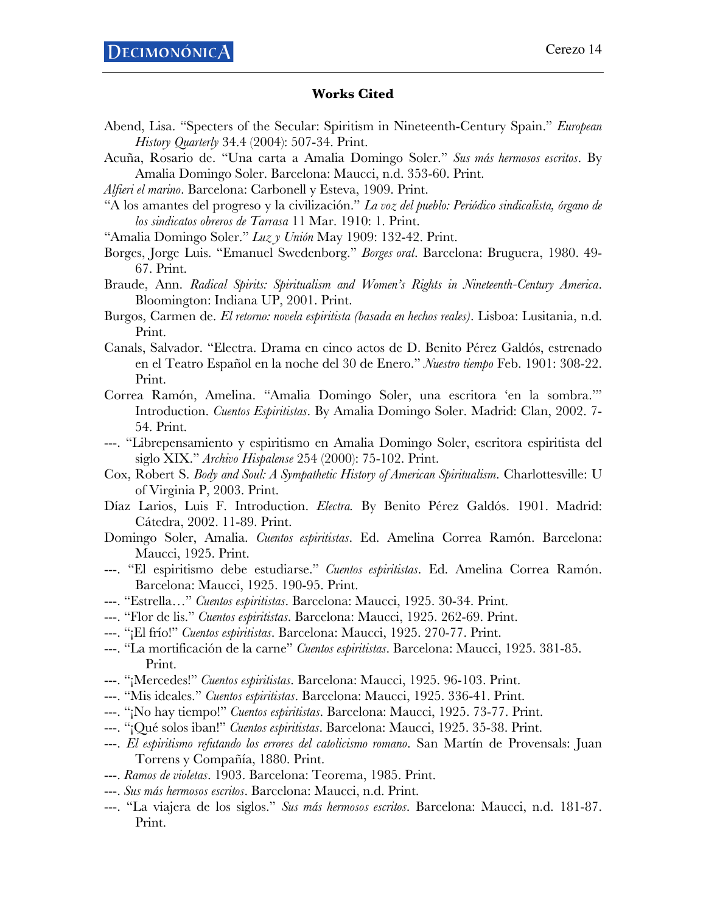## **Works Cited**

- Abend, Lisa. "Specters of the Secular: Spiritism in Nineteenth-Century Spain." *European History Quarterly* 34.4 (2004): 507-34. Print.
- Acuña, Rosario de. "Una carta a Amalia Domingo Soler." *Sus más hermosos escritos*. By Amalia Domingo Soler. Barcelona: Maucci, n.d. 353-60. Print.
- *Alfieri el marino*. Barcelona: Carbonell y Esteva, 1909. Print.
- "A los amantes del progreso y la civilización." *La voz del pueblo: Periódico sindicalista, órgano de los sindicatos obreros de Tarrasa* 11 Mar. 1910: 1. Print.
- "Amalia Domingo Soler." *Luz y Unión* May 1909: 132-42. Print.
- Borges, Jorge Luis. "Emanuel Swedenborg." *Borges oral*. Barcelona: Bruguera, 1980. 49- 67. Print.
- Braude, Ann. *Radical Spirits: Spiritualism and Women's Rights in Nineteenth-Century America*. Bloomington: Indiana UP, 2001. Print.
- Burgos, Carmen de. *El retorno: novela espiritista (basada en hechos reales)*. Lisboa: Lusitania, n.d. Print.
- Canals, Salvador. "Electra. Drama en cinco actos de D. Benito Pérez Galdós, estrenado en el Teatro Español en la noche del 30 de Enero." *Nuestro tiempo* Feb. 1901: 308-22. Print.
- Correa Ramón, Amelina. "Amalia Domingo Soler, una escritora 'en la sombra.'" Introduction. *Cuentos Espiritistas*. By Amalia Domingo Soler. Madrid: Clan, 2002. 7- 54. Print.
- ---. "Librepensamiento y espiritismo en Amalia Domingo Soler, escritora espiritista del siglo XIX." *Archivo Hispalense* 254 (2000): 75-102. Print.
- Cox, Robert S. *Body and Soul: A Sympathetic History of American Spiritualism*. Charlottesville: U of Virginia P, 2003. Print.
- Díaz Larios, Luis F. Introduction. *Electra.* By Benito Pérez Galdós. 1901. Madrid: Cátedra, 2002. 11-89. Print.
- Domingo Soler, Amalia. *Cuentos espiritistas*. Ed. Amelina Correa Ramón. Barcelona: Maucci, 1925. Print.
- ---. "El espiritismo debe estudiarse." *Cuentos espiritistas*. Ed. Amelina Correa Ramón. Barcelona: Maucci, 1925. 190-95. Print.
- ---. "Estrella…" *Cuentos espiritistas*. Barcelona: Maucci, 1925. 30-34. Print.
- ---. "Flor de lis." *Cuentos espiritistas*. Barcelona: Maucci, 1925. 262-69. Print.
- ---. "¡El frío!" *Cuentos espiritistas*. Barcelona: Maucci, 1925. 270-77. Print.
- ---. "La mortificación de la carne" *Cuentos espiritistas*. Barcelona: Maucci, 1925. 381-85. Print.
- ---. "¡Mercedes!" *Cuentos espiritistas*. Barcelona: Maucci, 1925. 96-103. Print.
- ---. "Mis ideales." *Cuentos espiritistas*. Barcelona: Maucci, 1925. 336-41. Print.
- ---. "¡No hay tiempo!" *Cuentos espiritistas*. Barcelona: Maucci, 1925. 73-77. Print.
- ---. "¡Qué solos iban!" *Cuentos espiritistas*. Barcelona: Maucci, 1925. 35-38. Print.
- ---. *El espiritismo refutando los errores del catolicismo romano*. San Martín de Provensals: Juan Torrens y Compañía, 1880. Print.
- ---. *Ramos de violetas*. 1903. Barcelona: Teorema, 1985. Print.
- ---. *Sus más hermosos escritos*. Barcelona: Maucci, n.d. Print.
- ---. "La viajera de los siglos." *Sus más hermosos escritos*. Barcelona: Maucci, n.d. 181-87. Print.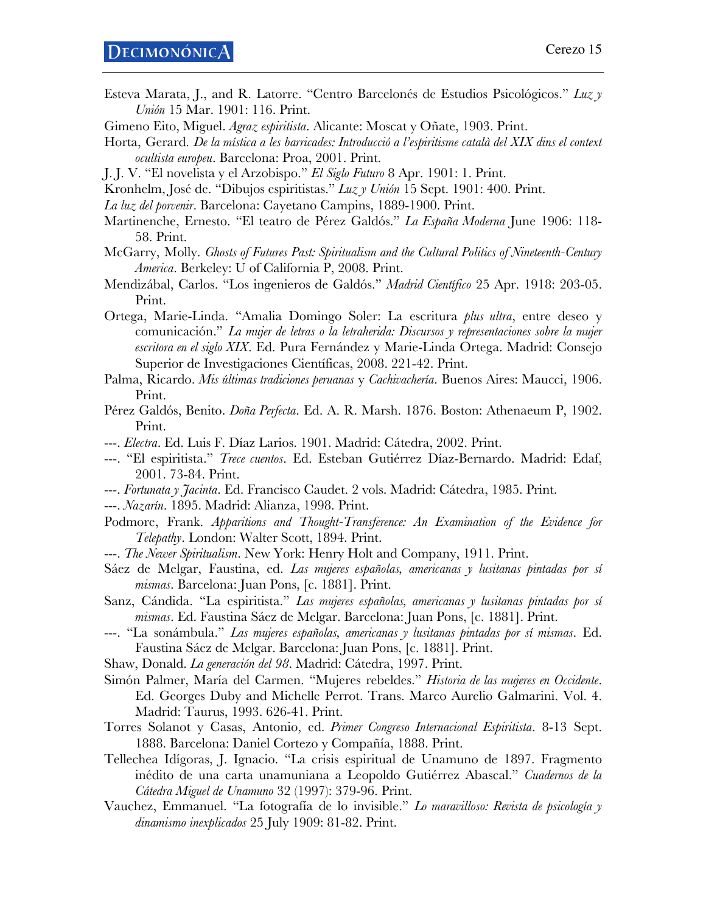- Esteva Marata, J., and R. Latorre. "Centro Barcelonés de Estudios Psicológicos." *Luz y Unión* 15 Mar. 1901: 116. Print.
- Gimeno Eito, Miguel. *Agraz espiritista*. Alicante: Moscat y Oñate, 1903. Print.
- Horta, Gerard. *De la mística a les barricades: Introducció a l'espiritisme català del XIX dins el context ocultista europeu*. Barcelona: Proa, 2001. Print.
- J. J. V. "El novelista y el Arzobispo." *El Siglo Futuro* 8 Apr. 1901: 1. Print.
- Kronhelm, José de. "Dibujos espiritistas." *Luz y Unión* 15 Sept. 1901: 400. Print.
- *La luz del porvenir*. Barcelona: Cayetano Campins, 1889-1900. Print.
- Martinenche, Ernesto. "El teatro de Pérez Galdós." *La España Moderna* June 1906: 118- 58. Print.
- McGarry, Molly. *Ghosts of Futures Past: Spiritualism and the Cultural Politics of Nineteenth-Century America*. Berkeley: U of California P, 2008. Print.
- Mendizábal, Carlos. "Los ingenieros de Galdós." *Madrid Científico* 25 Apr. 1918: 203-05. Print.
- Ortega, Marie-Linda. "Amalia Domingo Soler: La escritura *plus ultra*, entre deseo y comunicación." *La mujer de letras o la letraherida: Discursos y representaciones sobre la mujer escritora en el siglo XIX*. Ed. Pura Fernández y Marie-Linda Ortega. Madrid: Consejo Superior de Investigaciones Científicas, 2008. 221-42. Print.
- Palma, Ricardo. *Mis últimas tradiciones peruanas* y *Cachivachería*. Buenos Aires: Maucci, 1906. Print.
- Pérez Galdós, Benito. *Doña Perfecta*. Ed. A. R. Marsh. 1876. Boston: Athenaeum P, 1902. Print.
- ---. *Electra*. Ed. Luis F. Díaz Larios. 1901. Madrid: Cátedra, 2002. Print.
- ---. "El espiritista." *Trece cuentos*. Ed. Esteban Gutiérrez Díaz-Bernardo. Madrid: Edaf, 2001. 73-84. Print.
- ---. *Fortunata y Jacinta*. Ed. Francisco Caudet. 2 vols. Madrid: Cátedra, 1985. Print.
- ---. *Nazarín*. 1895. Madrid: Alianza, 1998. Print.
- Podmore, Frank. *Apparitions and Thought-Transference: An Examination of the Evidence for Telepathy*. London: Walter Scott, 1894. Print.
- ---. *The Newer Spiritualism*. New York: Henry Holt and Company, 1911. Print.
- Sáez de Melgar, Faustina, ed. *Las mujeres españolas, americanas y lusitanas pintadas por sí mismas*. Barcelona: Juan Pons, [c. 1881]. Print.
- Sanz, Cándida. "La espiritista." *Las mujeres españolas, americanas y lusitanas pintadas por sí mismas*. Ed. Faustina Sáez de Melgar. Barcelona: Juan Pons, [c. 1881]. Print.
- ---. "La sonámbula." *Las mujeres españolas, americanas y lusitanas pintadas por sí mismas*. Ed. Faustina Sáez de Melgar. Barcelona: Juan Pons, [c. 1881]. Print.
- Shaw, Donald. *La generación del 98*. Madrid: Cátedra, 1997. Print.
- Simón Palmer, María del Carmen. "Mujeres rebeldes." *Historia de las mujeres en Occidente*. Ed. Georges Duby and Michelle Perrot. Trans. Marco Aurelio Galmarini. Vol. 4. Madrid: Taurus, 1993. 626-41. Print.
- Torres Solanot y Casas, Antonio, ed. *Primer Congreso Internacional Espiritista*. 8-13 Sept. 1888. Barcelona: Daniel Cortezo y Compañía, 1888. Print.
- Tellechea Idígoras, J. Ignacio. "La crisis espiritual de Unamuno de 1897. Fragmento inédito de una carta unamuniana a Leopoldo Gutiérrez Abascal." *Cuadernos de la Cátedra Miguel de Unamuno* 32 (1997): 379-96. Print.
- Vauchez, Emmanuel. "La fotografía de lo invisible." *Lo maravilloso: Revista de psicología y dinamismo inexplicados* 25 July 1909: 81-82. Print.